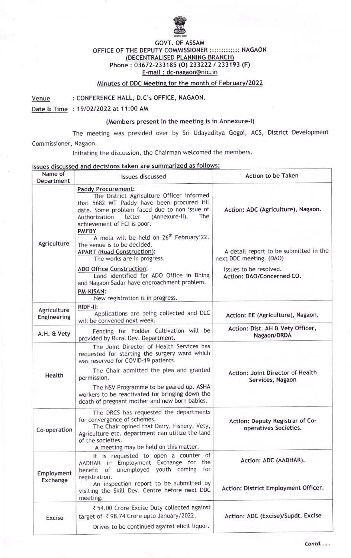

## GOVT. OF ASSAM OFFICE OF THE DEPUTY COMMISSIONER ::::::::::::: NAGAON DECENTRALISED PLANNING BRANCH Phone : 03672-233185 (O) 233222 / 233193 (F) E-mail : dc-nasaon@nic. in

## Minutes of DDC Meeting for the month of February/2022

Venue : CONFERENCE HALL, D.C's OFFICE, NAGAON.

Date & Time : 19102/2O22 at 11:00 AM

## (Members present in the meeting is in Annexure-l)

The meeting was presided over by Sri Udayaditya Gogoi, ACS, District Development Commissioner, Nagaon.

lnitiating the discussion, the Chairman welcomed the members.

## lssues discussed and decisions taken are summarized as follows:

| Name of<br>Department      | <b>Issues discussed</b>                                                                                                                                                                                                                                                 | <b>Action to be Taken</b>                                         |
|----------------------------|-------------------------------------------------------------------------------------------------------------------------------------------------------------------------------------------------------------------------------------------------------------------------|-------------------------------------------------------------------|
|                            | <b>Paddy Procurement:</b><br>The District Agriculture Officer informed<br>that 5682 MT Paddy have been procured till<br>date. Some problem faced due to non issue of<br>The<br>letter<br>(Annexure-II).<br>Authorization<br>achievement of FCI is poor.<br><b>PMFBY</b> | Action: ADC (Agriculture), Nagaon.                                |
| Agriculture                | A mela will be held on 26 <sup>th</sup> February'22.<br>The venue is to be decided.<br><b>APART (Road Construction):</b><br>The works are in progress.                                                                                                                  | A detail report to be submitted in the<br>next DDC meeting. (DAO) |
|                            | <b>ADO Office Construction:</b><br>Land identified for ADO Office in Dhing<br>and Nagaon Sadar have encroachment problem.<br><b>PM-KISAN:</b><br>New registration is in progress.                                                                                       | Issues to be resolved.<br>Action: DAO/Concerned CO.               |
| Agriculture<br>Engineering | RIDF-II:<br>Applications are being collected and DLC<br>will be convened next week.                                                                                                                                                                                     | Action: EE (Agriculture), Nagaon.                                 |
| A.H. & Vety                | Fencing for Fodder Cultivation will be<br>provided by Rural Dev. Department.                                                                                                                                                                                            | Action: Dist. AH & Vety Officer,<br>Nagaon/DRDA                   |
|                            | The Joint Director of Health Services has<br>requested for starting the surgery ward which<br>was reserved for COVID-19 patients.                                                                                                                                       |                                                                   |
| Health                     | The Chair admitted the plea and granted<br>permission.<br>The NSV Programme to be geared up. ASHA<br>workers to be reactivated for bringing down the<br>death of pregnant mother and new born babies.                                                                   | Action: Joint Director of Health<br>Services, Nagaon              |
| Co-operation               | The DRCS has requested the departments<br>for convergence of schemes.<br>The Chair opined that Dairy, Fishery, Vety,<br>Agriculture etc. department can utilize the land<br>of the societies.<br>A meeting may be held on this matter.                                  | Action: Deputy Registrar of Co-<br>operatives Societies.          |
| Employment<br>Exchange     | It is requested to open a counter of<br>AADHAR in Employment Exchange for the<br>benefit of unemployed youth coming for<br>registration.<br>An inspection report to be submitted by<br>visiting the Skill Dev. Centre before next DDC                                   | Action: ADC (AADHAR).<br>Action: District Employment Officer.     |
| <b>Excise</b>              | meeting.<br>₹54.00 Crore Excise Duty collected against<br>target of ₹98.74 Crore upto January/2022.<br>Drives to be continued against elicit liquor.                                                                                                                    | Action: ADC (Excise)/Supdt. Excise                                |